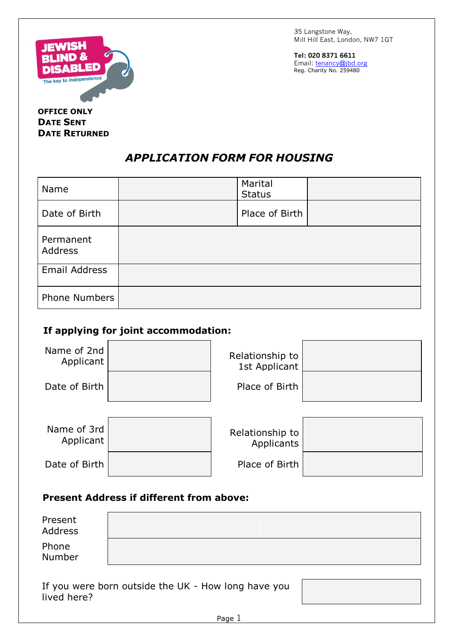35 Langstone Way, Mill Hill East, London, NW7 1GT

**Tel: 020 8371 6611**  Email: [tenancy@jbd.org](mailto:tenancy@jbd.org) Reg. Charity No. 259480



#### **OFFICE ONLY DATE SENT DATE RETURNED**

# *APPLICATION FORM FOR HOUSING*

| Name                        | Marital<br><b>Status</b> |  |
|-----------------------------|--------------------------|--|
| Date of Birth               | Place of Birth           |  |
| Permanent<br><b>Address</b> |                          |  |
| <b>Email Address</b>        |                          |  |
| <b>Phone Numbers</b>        |                          |  |

## **If applying for joint accommodation:**

| Name of 2nd<br>Applicant | Relationship to<br>1st Applicant |  |
|--------------------------|----------------------------------|--|
| Date of Birth            | Place of Birth                   |  |
|                          |                                  |  |
| Name of 3rd<br>Applicant | Relationship to<br>Applicants    |  |
| Date of Birth            | Place of Birth                   |  |

## **Present Address if different from above:**

| Present<br>Address |  |
|--------------------|--|
| Phone<br>Number    |  |

| If you were born outside the UK - How long have you |  |  |  |  |
|-----------------------------------------------------|--|--|--|--|
| lived here?                                         |  |  |  |  |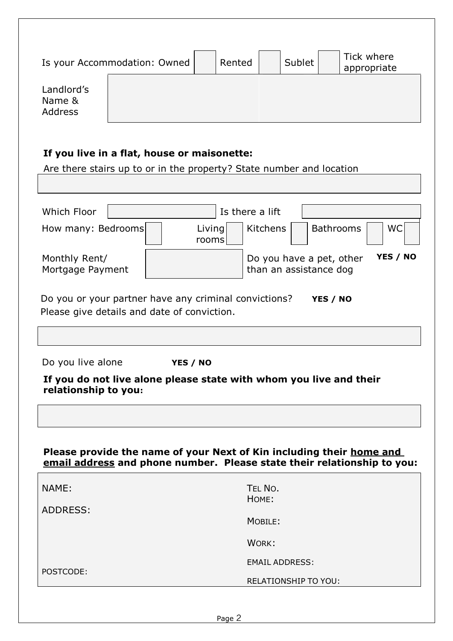| Is your Accommodation: Owned                                                                                                                    | Rented                                             |                       | Sublet |                  | <b>Tick where</b><br>appropriate |
|-------------------------------------------------------------------------------------------------------------------------------------------------|----------------------------------------------------|-----------------------|--------|------------------|----------------------------------|
| Landlord's<br>Name &<br><b>Address</b>                                                                                                          |                                                    |                       |        |                  |                                  |
| If you live in a flat, house or maisonette:<br>Are there stairs up to or in the property? State number and location                             |                                                    |                       |        |                  |                                  |
|                                                                                                                                                 |                                                    |                       |        |                  |                                  |
| Which Floor<br>How many: Bedrooms                                                                                                               | Is there a lift<br>Living<br>rooms                 | <b>Kitchens</b>       |        | <b>Bathrooms</b> | <b>WC</b>                        |
| Monthly Rent/<br>Mortgage Payment                                                                                                               | Do you have a pet, other<br>than an assistance dog |                       |        | YES / NO         |                                  |
| Do you or your partner have any criminal convictions?<br>Please give details and date of conviction.                                            |                                                    |                       |        | YES / NO         |                                  |
|                                                                                                                                                 |                                                    |                       |        |                  |                                  |
| YES / NO<br>If you do not live alone please state with whom you live and their<br>relationship to you:                                          |                                                    |                       |        |                  |                                  |
| Please provide the name of your Next of Kin including their home and<br>email address and phone number. Please state their relationship to you: |                                                    |                       |        |                  |                                  |
|                                                                                                                                                 |                                                    | TEL NO.               |        |                  |                                  |
|                                                                                                                                                 |                                                    | HOME:<br>MOBILE:      |        |                  |                                  |
|                                                                                                                                                 |                                                    | WORK:                 |        |                  |                                  |
| Do you live alone<br>NAME:<br><b>ADDRESS:</b><br>POSTCODE:                                                                                      |                                                    | <b>EMAIL ADDRESS:</b> |        |                  |                                  |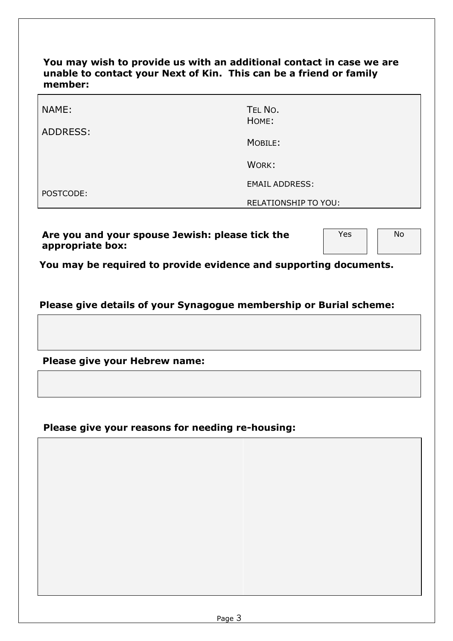**You may wish to provide us with an additional contact in case we are unable to contact your Next of Kin. This can be a friend or family member:** 

| NAME:     | TEL NO.<br>HOME:            |
|-----------|-----------------------------|
| ADDRESS:  | MOBILE:                     |
|           | WORK:                       |
| POSTCODE: | <b>EMAIL ADDRESS:</b>       |
|           | <b>RELATIONSHIP TO YOU:</b> |

**Are you and your spouse Jewish: please tick the appropriate box:** 

Yes | No

 **You may be required to provide evidence and supporting documents.** 

 **Please give details of your Synagogue membership or Burial scheme:** 

 **Please give your Hebrew name:** 

**Please give your reasons for needing re-housing:**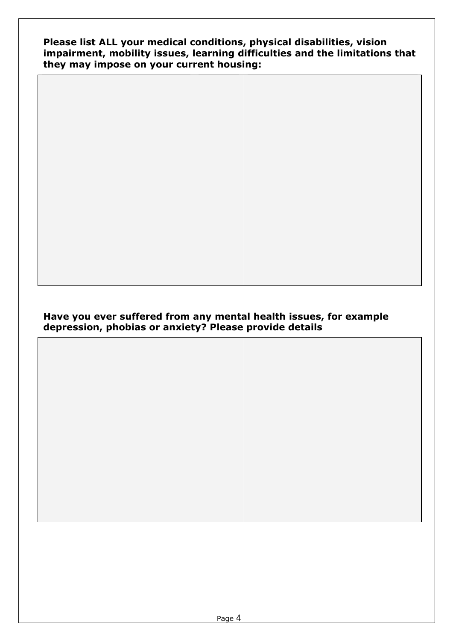**Please list ALL your medical conditions, physical disabilities, vision impairment, mobility issues, learning difficulties and the limitations that they may impose on your current housing:** 

**Have you ever suffered from any mental health issues, for example depression, phobias or anxiety? Please provide details**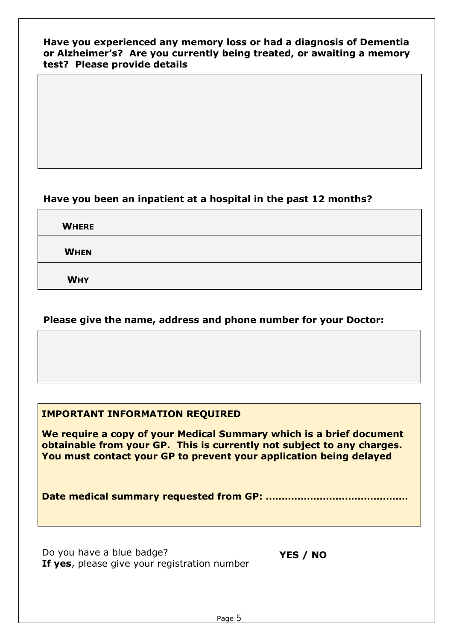#### **Have you experienced any memory loss or had a diagnosis of Dementia or Alzheimer's? Are you currently being treated, or awaiting a memory test? Please provide details**

## **Have you been an inpatient at a hospital in the past 12 months?**

**WHERE**

**WHEN**

**WHY**

## **Please give the name, address and phone number for your Doctor:**

## **IMPORTANT INFORMATION REQUIRED**

**We require a copy of your Medical Summary which is a brief document obtainable from your GP. This is currently not subject to any charges. You must contact your GP to prevent your application being delayed** 

**Date medical summary requested from GP: ………………………………………**

Do you have a blue badge? **If yes**, please give your registration number

**YES / NO**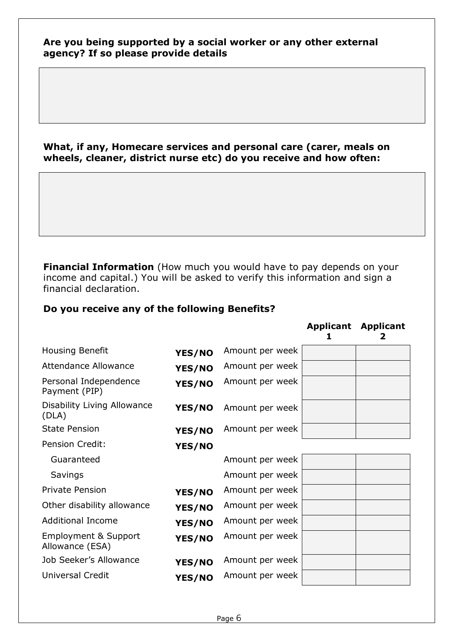#### **Are you being supported by a social worker or any other external agency? If so please provide details**

#### **What, if any, Homecare services and personal care (carer, meals on wheels, cleaner, district nurse etc) do you receive and how often:**

**Financial Information** (How much you would have to pay depends on your income and capital.) You will be asked to verify this information and sign a financial declaration.

#### **Do you receive any of the following Benefits?**

|                                                    |        |                 | <b>Applicant</b> | <b>Applicant</b> |
|----------------------------------------------------|--------|-----------------|------------------|------------------|
| Housing Benefit                                    | YES/NO | Amount per week |                  |                  |
| <b>Attendance Allowance</b>                        | YES/NO | Amount per week |                  |                  |
| Personal Independence<br>Payment (PIP)             | YES/NO | Amount per week |                  |                  |
| Disability Living Allowance<br>(DLA)               | YES/NO | Amount per week |                  |                  |
| <b>State Pension</b>                               | YES/NO | Amount per week |                  |                  |
| <b>Pension Credit:</b>                             | YES/NO |                 |                  |                  |
| Guaranteed                                         |        | Amount per week |                  |                  |
| Savings                                            |        | Amount per week |                  |                  |
| <b>Private Pension</b>                             | YES/NO | Amount per week |                  |                  |
| Other disability allowance                         | YES/NO | Amount per week |                  |                  |
| <b>Additional Income</b>                           | YES/NO | Amount per week |                  |                  |
| <b>Employment &amp; Support</b><br>Allowance (ESA) | YES/NO | Amount per week |                  |                  |
| Job Seeker's Allowance                             | YES/NO | Amount per week |                  |                  |
| <b>Universal Credit</b>                            | YES/NO | Amount per week |                  |                  |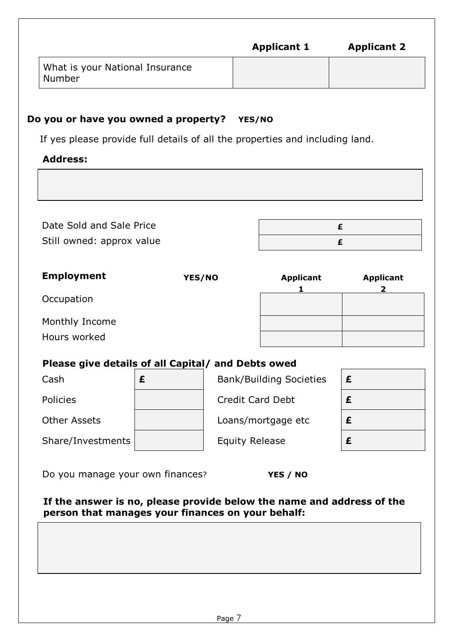|                                           | <b>Applicant 1</b> | <b>Applicant 2</b> |
|-------------------------------------------|--------------------|--------------------|
| What is your National Insurance<br>Number |                    |                    |

## **Do you or have you owned a property? YES/NO**

If yes please provide full details of all the properties and including land.

## **Address:**

| Date Sold and Sale Price  |  |
|---------------------------|--|
| Still owned: approx value |  |

| <b>Employment</b> | YES/NO | <b>Applicant</b> | <b>Applicant</b> |
|-------------------|--------|------------------|------------------|
| Occupation        |        |                  |                  |
| Monthly Income    |        |                  |                  |
| Hours worked      |        |                  |                  |

## **Please give details of all Capital/ and Debts owed**

| Cash                | <b>Bank/Building Societies</b> | £ |
|---------------------|--------------------------------|---|
| Policies            | <b>Credit Card Debt</b>        |   |
| <b>Other Assets</b> | Loans/mortgage etc             |   |
| Share/Investments   | <b>Equity Release</b>          |   |

Do you manage your own finances? **YES / NO** 

## **If the answer is no, please provide below the name and address of the person that manages your finances on your behalf:**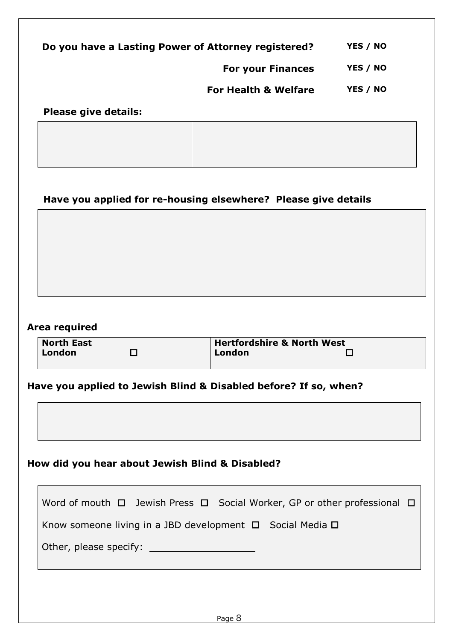| Do you have a Lasting Power of Attorney registered? | YES / NO |  |  |  |
|-----------------------------------------------------|----------|--|--|--|
|-----------------------------------------------------|----------|--|--|--|

- **For your Finances YES / NO**
- **For Health & Welfare YES / NO**

#### **Please give details:**

## **Have you applied for re-housing elsewhere? Please give details**

#### **Area required**

| <b>North East</b> |  | <b>Hertfordshire &amp; North West</b> |  |  |
|-------------------|--|---------------------------------------|--|--|
| London            |  | London                                |  |  |
|                   |  |                                       |  |  |

#### **Have you applied to Jewish Blind & Disabled before? If so, when?**

#### **How did you hear about Jewish Blind & Disabled?**

| Word of mouth $\Box$ Jewish Press $\Box$ Social Worker, GP or other professional $\Box$ |  |  |  |  |  |
|-----------------------------------------------------------------------------------------|--|--|--|--|--|
| Know someone living in a JBD development $\Box$ Social Media $\Box$                     |  |  |  |  |  |
|                                                                                         |  |  |  |  |  |
|                                                                                         |  |  |  |  |  |